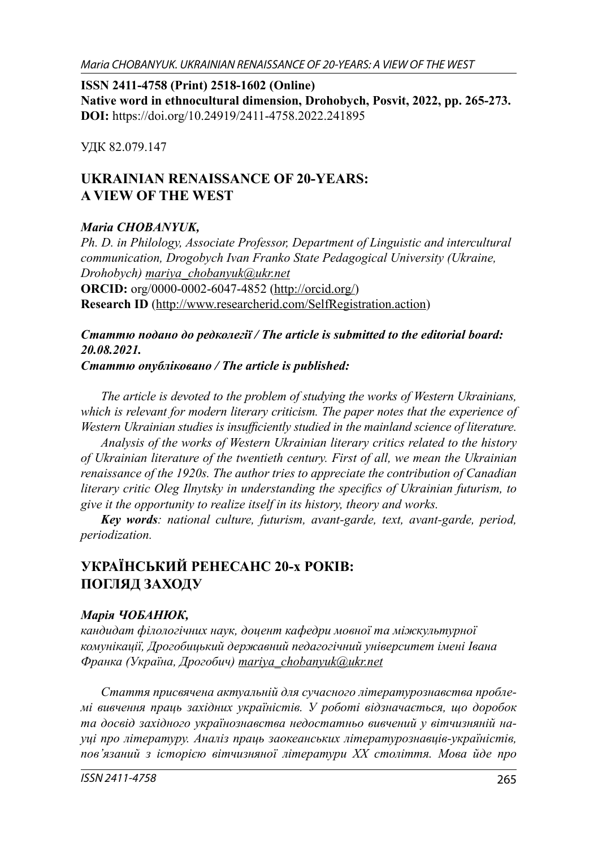**ISSN 2411-4758 (Print) 2518-1602 (Online) Native word in ethnocultural dimension, Drohobych, Posvit, 2022, pp. 265-273. DOI:** https://doi.org/10.24919/2411-4758.2022.241895

УДК 82.079.147

# **UKRAINIAN RENAISSANCE OF 20-YEARS: A VIEW OF THE WEST**

### *Maria CHOBANYUK,*

*Ph. D. in Philology, Associate Professor, Department of Linguistic and intercultural communication, Drogobych Ivan Franko State Pedagogical University (Ukraine, Drohobych) mariya\_chobanyuk@ukr.net* **ORCID:** org/0000-0002-6047-4852 (http://orcid.org/) **Research ID** (http://www.researcherid.com/SelfRegistration.action)

# *Статтю подано до редколегії / The article is submitted to the editorial board: 20.08.2021.*

*Статтю опубліковано / The article is published:*

*The article is devoted to the problem of studying the works of Western Ukrainians, which is relevant for modern literary criticism. The paper notes that the experience of Western Ukrainian studies is insufficiently studied in the mainland science of literature.* 

*Analysis of the works of Western Ukrainian literary critics related to the history of Ukrainian literature of the twentieth century. First of all, we mean the Ukrainian renaissance of the 1920s. The author tries to appreciate the contribution of Canadian literary critic Oleg Ilnytsky in understanding the specifics of Ukrainian futurism, to give it the opportunity to realize itself in its history, theory and works.*

*Key words: national culture, futurism, avant-garde, text, avant-garde, period, periodization.*

# **УКРАЇНСЬКИЙ РЕНЕСАНС 20-х РОКІВ: ПОГЛЯД ЗАХОДУ**

### *Марія ЧОБАНЮК,*

*кандидат філологічних наук, доцент кафедри мовної та міжкультурної комунікації, Дрогобицький державний педагогічний університет імені Івана Франка (Україна, Дрогобич) mariya\_chobanyuk@ukr.net*

*Стаття присвячена актуальній для сучасного літературознавства проблемі вивчення праць західних україністів. У роботі відзначається, що доробок та досвід західного українознавства недостатньо вивчений у вітчизняній науці про літературу. Аналіз праць заокеанських літературознавців-україністів, пов'язаний з історією вітчизняної літератури ХХ століття. Мова йде про*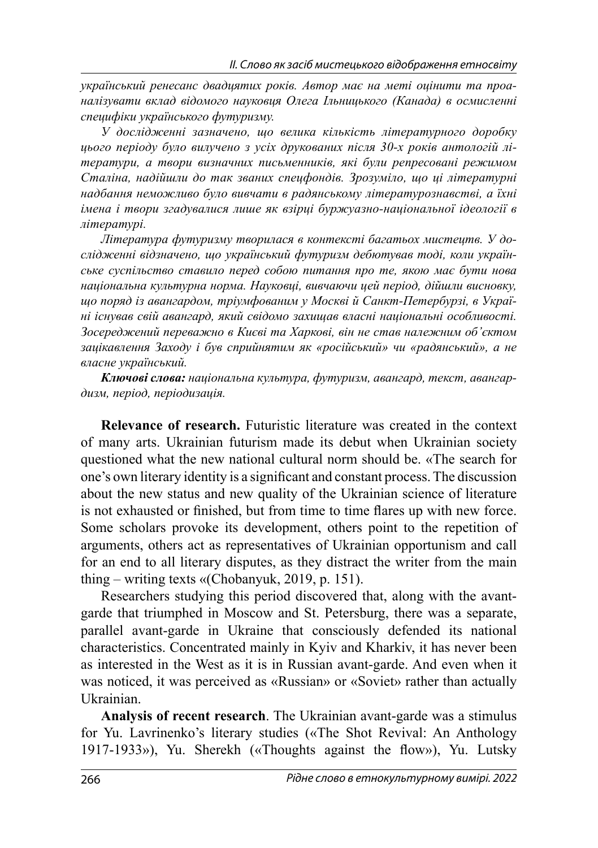*український ренесанс двадцятих років. Автор має на меті оцінити та проаналізувати вклад відомого науковця Олега Ільницького (Канада) в осмисленні специфіки українського футуризму.*

*У дослідженні зазначено, що велика кількість літературного доробку цього періоду було вилучено з усіх друкованих після 30-х років антологій літератури, а твори визначних письменників, які були репресовані режимом Сталіна, надійшли до так званих спецфондів. Зрозуміло, що ці літературні надбання неможливо було вивчати в радянському літературознавстві, а їхні імена і твори згадувалися лише як взірці буржуазно-національної ідеології в літературі.*

*Література футуризму творилася в контексті багатьох мистецтв. У дослідженні відзначено, що український футуризм дебютував тоді, коли українське суспільство ставило перед собою питання про те, якою має бути нова національна культурна норма. Науковці, вивчаючи цей період, дійшли висновку, що поряд із авангардом, тріумфованим у Москві й Санкт-Петербурзі, в Україні існував свій авангард, який свідомо захищав власні національні особливості. Зосереджений переважно в Києві та Харкові, він не став належним об'єктом зацікавлення Заходу і був сприйнятим як «російський» чи «радянський», а не власне український.*

*Ключові слова: національна культура, футуризм, авангард, текст, авангардизм, період, періодизація.*

**Relevance of research.** Futuristic literature was created in the context of many arts. Ukrainian futurism made its debut when Ukrainian society questioned what the new national cultural norm should be. «The search for one's own literary identity is a significant and constant process. The discussion about the new status and new quality of the Ukrainian science of literature is not exhausted or finished, but from time to time flares up with new force. Some scholars provoke its development, others point to the repetition of arguments, others act as representatives of Ukrainian opportunism and call for an end to all literary disputes, as they distract the writer from the main thing – writing texts «(Chobanyuk, 2019, p. 151).

Researchers studying this period discovered that, along with the avantgarde that triumphed in Moscow and St. Petersburg, there was a separate, parallel avant-garde in Ukraine that consciously defended its national characteristics. Concentrated mainly in Kyiv and Kharkiv, it has never been as interested in the West as it is in Russian avant-garde. And even when it was noticed, it was perceived as «Russian» or «Soviet» rather than actually Ukrainian.

**Analysis of recent research**. The Ukrainian avant-garde was a stimulus for Yu. Lavrinenko's literary studies («The Shot Revival: An Anthology 1917-1933»), Yu. Sherekh («Thoughts against the flow»), Yu. Lutsky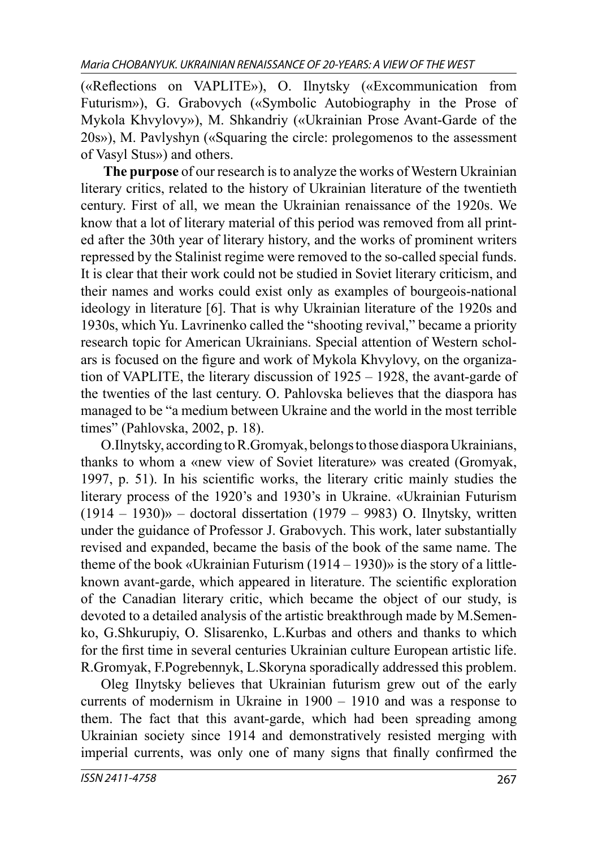(«Reflections on VAPLITE»), O. Ilnytsky («Excommunication from Futurism»), G. Grabovych («Symbolic Autobiography in the Prose of Mykola Khvylovy»), M. Shkandriy («Ukrainian Prose Avant-Garde of the 20s»), M. Pavlyshyn («Squaring the circle: prolegomenos to the assessment of Vasyl Stus») and others.

 **The purpose** of our research is to analyze the works of Western Ukrainian literary critics, related to the history of Ukrainian literature of the twentieth century. First of all, we mean the Ukrainian renaissance of the 1920s. We know that a lot of literary material of this period was removed from all printed after the 30th year of literary history, and the works of prominent writers repressed by the Stalinist regime were removed to the so-called special funds. It is clear that their work could not be studied in Soviet literary criticism, and their names and works could exist only as examples of bourgeois-national ideology in literature [6]. That is why Ukrainian literature of the 1920s and 1930s, which Yu. Lavrinenko called the "shooting revival," became a priority research topic for American Ukrainians. Special attention of Western scholars is focused on the figure and work of Mykola Khyylovy, on the organization of VAPLITE, the literary discussion of 1925 – 1928, the avant-garde of the twenties of the last century. O. Pahlovska believes that the diaspora has managed to be "a medium between Ukraine and the world in the most terrible times" (Pahlovska, 2002, p. 18).

O.Ilnytsky, according to R.Gromyak, belongs to those diaspora Ukrainians, thanks to whom a «new view of Soviet literature» was created (Gromyak, 1997, p. 51). In his scientific works, the literary critic mainly studies the literary process of the 1920's and 1930's in Ukraine. «Ukrainian Futurism  $(1914 - 1930)$ <sup>2</sup> – doctoral dissertation  $(1979 - 9983)$  O. Ilnytsky, written under the guidance of Professor J. Grabovych. This work, later substantially revised and expanded, became the basis of the book of the same name. The theme of the book «Ukrainian Futurism (1914 – 1930)» is the story of a littleknown avant-garde, which appeared in literature. The scientific exploration of the Canadian literary critic, which became the object of our study, is devoted to a detailed analysis of the artistic breakthrough made by M.Semenko, G.Shkurupiy, O. Slisarenko, L.Kurbas and others and thanks to which for the first time in several centuries Ukrainian culture European artistic life. R.Gromyak, F.Pogrebennyk, L.Skoryna sporadically addressed this problem.

Oleg Ilnytsky believes that Ukrainian futurism grew out of the early currents of modernism in Ukraine in 1900 – 1910 and was a response to them. The fact that this avant-garde, which had been spreading among Ukrainian society since 1914 and demonstratively resisted merging with imperial currents, was only one of many signs that finally confirmed the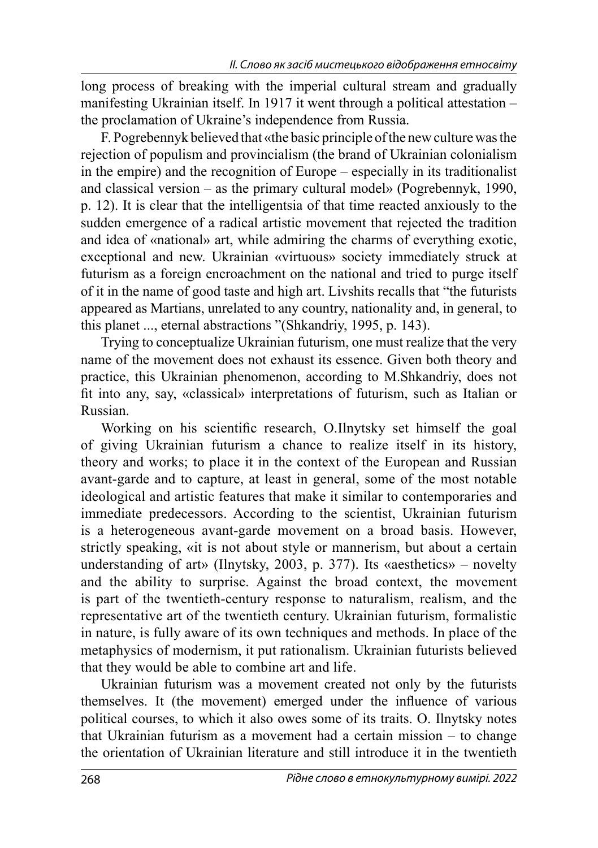long process of breaking with the imperial cultural stream and gradually manifesting Ukrainian itself. In 1917 it went through a political attestation – the proclamation of Ukraine's independence from Russia.

F. Pogrebennyk believed that «the basic principle of the new culture was the rejection of populism and provincialism (the brand of Ukrainian colonialism in the empire) and the recognition of Europe – especially in its traditionalist and classical version – as the primary cultural model» (Pogrebennyk, 1990, p. 12). It is clear that the intelligentsia of that time reacted anxiously to the sudden emergence of a radical artistic movement that rejected the tradition and idea of «national» art, while admiring the charms of everything exotic, exceptional and new. Ukrainian «virtuous» society immediately struck at futurism as a foreign encroachment on the national and tried to purge itself of it in the name of good taste and high art. Livshits recalls that "the futurists appeared as Martians, unrelated to any country, nationality and, in general, to this planet ..., eternal abstractions "(Shkandriy, 1995, p. 143).

Trying to conceptualize Ukrainian futurism, one must realize that the very name of the movement does not exhaust its essence. Given both theory and practice, this Ukrainian phenomenon, according to M.Shkandriy, does not fit into any, say, «classical» interpretations of futurism, such as Italian or Russian.

Working on his scientific research, O.Ilnytsky set himself the goal of giving Ukrainian futurism a chance to realize itself in its history, theory and works; to place it in the context of the European and Russian avant-garde and to capture, at least in general, some of the most notable ideological and artistic features that make it similar to contemporaries and immediate predecessors. According to the scientist, Ukrainian futurism is a heterogeneous avant-garde movement on a broad basis. However, strictly speaking, «it is not about style or mannerism, but about a certain understanding of art» (Ilnytsky, 2003, p. 377). Its «aesthetics» – novelty and the ability to surprise. Against the broad context, the movement is part of the twentieth-century response to naturalism, realism, and the representative art of the twentieth century. Ukrainian futurism, formalistic in nature, is fully aware of its own techniques and methods. In place of the metaphysics of modernism, it put rationalism. Ukrainian futurists believed that they would be able to combine art and life.

Ukrainian futurism was a movement created not only by the futurists themselves. It (the movement) emerged under the influence of various political courses, to which it also owes some of its traits. O. Ilnytsky notes that Ukrainian futurism as a movement had a certain mission – to change the orientation of Ukrainian literature and still introduce it in the twentieth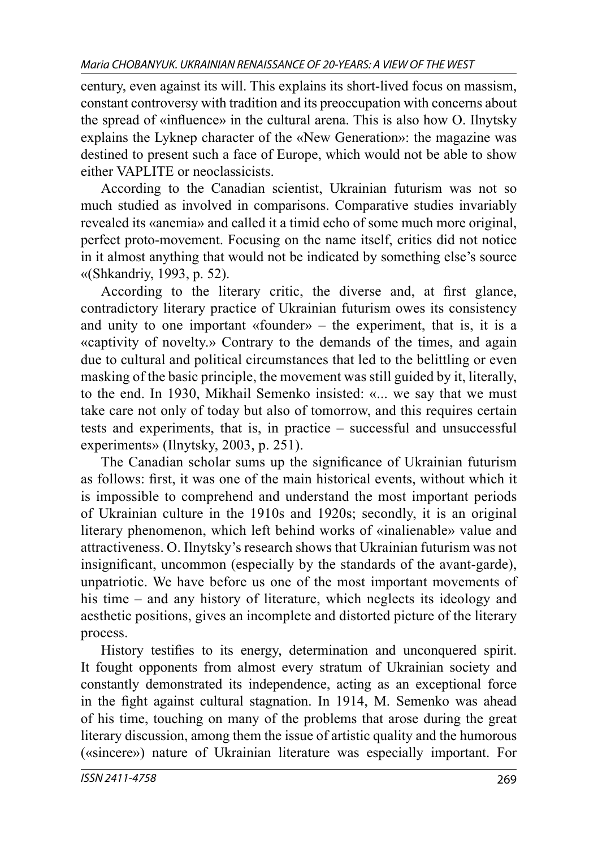century, even against its will. This explains its short-lived focus on massism, constant controversy with tradition and its preoccupation with concerns about the spread of «influence» in the cultural arena. This is also how O. Ilnytsky explains the Lyknep character of the «New Generation»: the magazine was destined to present such a face of Europe, which would not be able to show either VAPLITE or neoclassicists.

According to the Canadian scientist, Ukrainian futurism was not so much studied as involved in comparisons. Comparative studies invariably revealed its «anemia» and called it a timid echo of some much more original, perfect proto-movement. Focusing on the name itself, critics did not notice in it almost anything that would not be indicated by something else's source «(Shkandriy, 1993, p. 52).

According to the literary critic, the diverse and, at first glance, contradictory literary practice of Ukrainian futurism owes its consistency and unity to one important «founder» – the experiment, that is, it is a «captivity of novelty.» Contrary to the demands of the times, and again due to cultural and political circumstances that led to the belittling or even masking of the basic principle, the movement was still guided by it, literally, to the end. In 1930, Mikhail Semenko insisted: «... we say that we must take care not only of today but also of tomorrow, and this requires certain tests and experiments, that is, in practice – successful and unsuccessful experiments» (Ilnytsky, 2003, p. 251).

The Canadian scholar sums up the significance of Ukrainian futurism as follows: first, it was one of the main historical events, without which it is impossible to comprehend and understand the most important periods of Ukrainian culture in the 1910s and 1920s; secondly, it is an original literary phenomenon, which left behind works of «inalienable» value and attractiveness. O. Ilnytsky's research shows that Ukrainian futurism was not insignificant, uncommon (especially by the standards of the avant-garde), unpatriotic. We have before us one of the most important movements of his time – and any history of literature, which neglects its ideology and aesthetic positions, gives an incomplete and distorted picture of the literary process.

History testifies to its energy, determination and unconquered spirit. It fought opponents from almost every stratum of Ukrainian society and constantly demonstrated its independence, acting as an exceptional force in the fight against cultural stagnation. In 1914, M. Semenko was ahead of his time, touching on many of the problems that arose during the great literary discussion, among them the issue of artistic quality and the humorous («sincere») nature of Ukrainian literature was especially important. For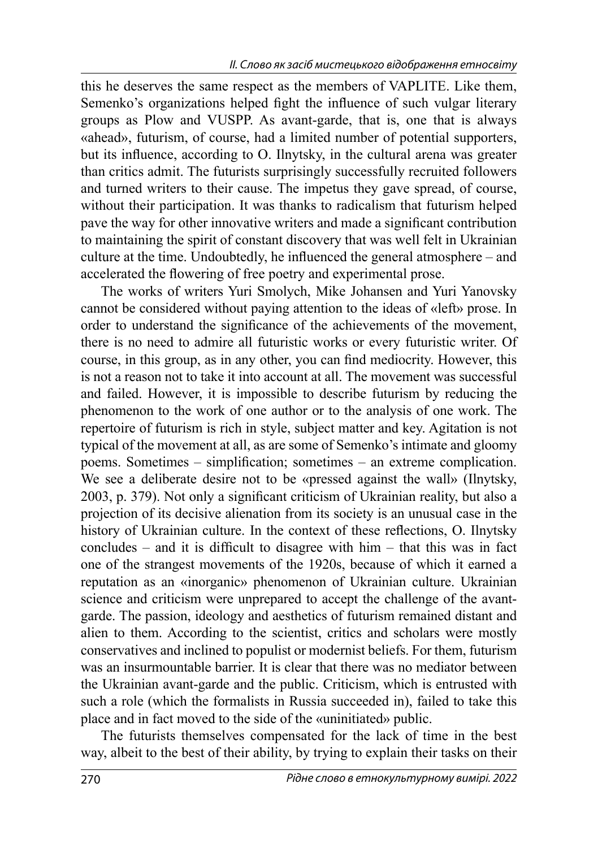this he deserves the same respect as the members of VAPLITE. Like them, Semenko's organizations helped fight the influence of such vulgar literary groups as Plow and VUSPP. As avant-garde, that is, one that is always «ahead», futurism, of course, had a limited number of potential supporters, but its influence, according to O. Ilnytsky, in the cultural arena was greater than critics admit. The futurists surprisingly successfully recruited followers and turned writers to their cause. The impetus they gave spread, of course, without their participation. It was thanks to radicalism that futurism helped pave the way for other innovative writers and made a significant contribution to maintaining the spirit of constant discovery that was well felt in Ukrainian culture at the time. Undoubtedly, he influenced the general atmosphere – and accelerated the flowering of free poetry and experimental prose.

The works of writers Yuri Smolych, Mike Johansen and Yuri Yanovsky cannot be considered without paying attention to the ideas of «left» prose. In order to understand the significance of the achievements of the movement, there is no need to admire all futuristic works or every futuristic writer. Of course, in this group, as in any other, you can find mediocrity. However, this is not a reason not to take it into account at all. The movement was successful and failed. However, it is impossible to describe futurism by reducing the phenomenon to the work of one author or to the analysis of one work. The repertoire of futurism is rich in style, subject matter and key. Agitation is not typical of the movement at all, as are some of Semenko's intimate and gloomy poems. Sometimes – simplification; sometimes – an extreme complication. We see a deliberate desire not to be «pressed against the wall» (Ilnytsky, 2003, p. 379). Not only a significant criticism of Ukrainian reality, but also a projection of its decisive alienation from its society is an unusual case in the history of Ukrainian culture. In the context of these reflections, O. Ilnytsky concludes – and it is difficult to disagree with him – that this was in fact one of the strangest movements of the 1920s, because of which it earned a reputation as an «inorganic» phenomenon of Ukrainian culture. Ukrainian science and criticism were unprepared to accept the challenge of the avantgarde. The passion, ideology and aesthetics of futurism remained distant and alien to them. According to the scientist, critics and scholars were mostly conservatives and inclined to populist or modernist beliefs. For them, futurism was an insurmountable barrier. It is clear that there was no mediator between the Ukrainian avant-garde and the public. Criticism, which is entrusted with such a role (which the formalists in Russia succeeded in), failed to take this place and in fact moved to the side of the «uninitiated» public.

The futurists themselves compensated for the lack of time in the best way, albeit to the best of their ability, by trying to explain their tasks on their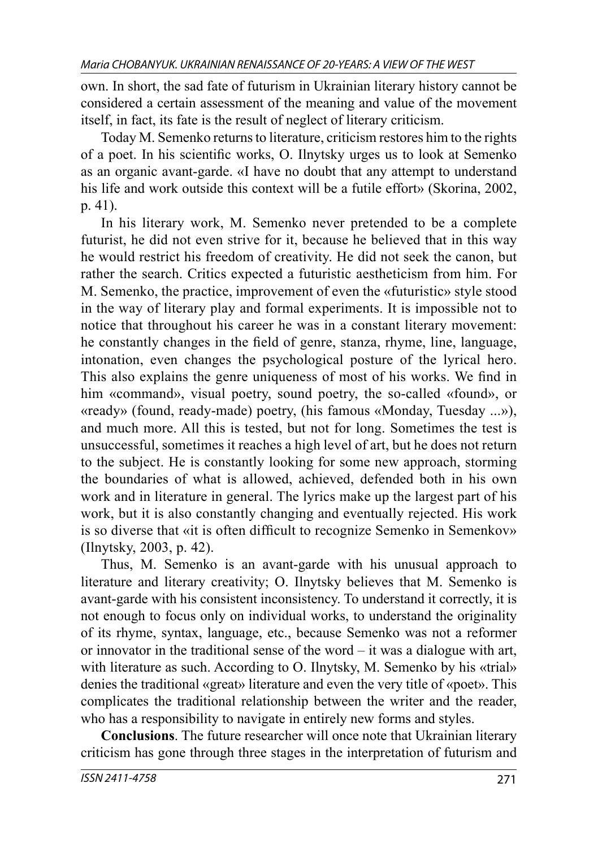own. In short, the sad fate of futurism in Ukrainian literary history cannot be considered a certain assessment of the meaning and value of the movement itself, in fact, its fate is the result of neglect of literary criticism.

Today M. Semenko returns to literature, criticism restores him to the rights of a poet. In his scientific works, O. Ilnytsky urges us to look at Semenko as an organic avant-garde. «I have no doubt that any attempt to understand his life and work outside this context will be a futile effort» (Skorina, 2002, p. 41).

In his literary work, M. Semenko never pretended to be a complete futurist, he did not even strive for it, because he believed that in this way he would restrict his freedom of creativity. He did not seek the canon, but rather the search. Critics expected a futuristic aestheticism from him. For M. Semenko, the practice, improvement of even the «futuristic» style stood in the way of literary play and formal experiments. It is impossible not to notice that throughout his career he was in a constant literary movement: he constantly changes in the field of genre, stanza, rhyme, line, language, intonation, even changes the psychological posture of the lyrical hero. This also explains the genre uniqueness of most of his works. We find in him «command», visual poetry, sound poetry, the so-called «found», or «ready» (found, ready-made) poetry, (his famous «Monday, Tuesday ...»), and much more. All this is tested, but not for long. Sometimes the test is unsuccessful, sometimes it reaches a high level of art, but he does not return to the subject. He is constantly looking for some new approach, storming the boundaries of what is allowed, achieved, defended both in his own work and in literature in general. The lyrics make up the largest part of his work, but it is also constantly changing and eventually rejected. His work is so diverse that «it is often difficult to recognize Semenko in Semenkov» (Ilnytsky, 2003, p. 42).

Thus, M. Semenko is an avant-garde with his unusual approach to literature and literary creativity; O. Ilnytsky believes that M. Semenko is avant-garde with his consistent inconsistency. To understand it correctly, it is not enough to focus only on individual works, to understand the originality of its rhyme, syntax, language, etc., because Semenko was not a reformer or innovator in the traditional sense of the word – it was a dialogue with art, with literature as such. According to O. Ilnytsky, M. Semenko by his «trial» denies the traditional «great» literature and even the very title of «poet». This complicates the traditional relationship between the writer and the reader, who has a responsibility to navigate in entirely new forms and styles.

**Conclusions**. The future researcher will once note that Ukrainian literary criticism has gone through three stages in the interpretation of futurism and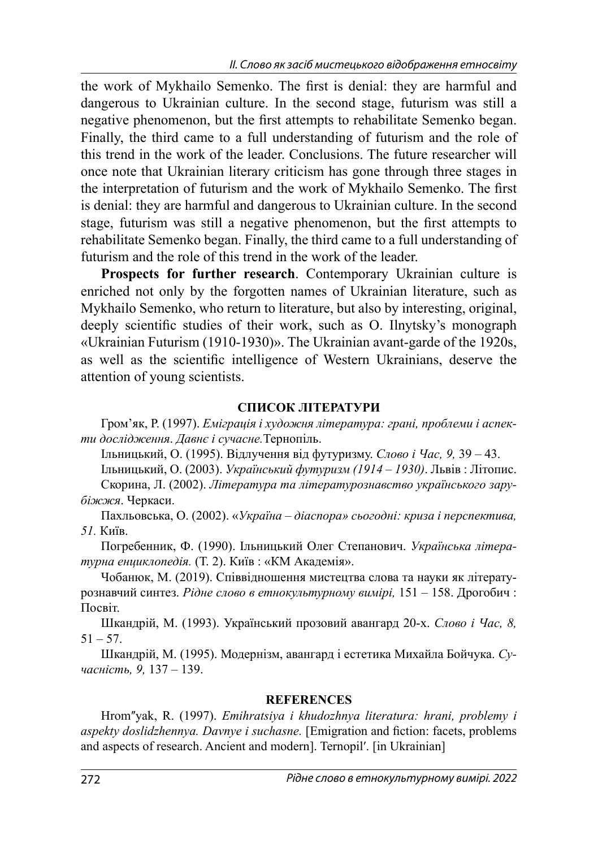the work of Mykhailo Semenko. The first is denial: they are harmful and dangerous to Ukrainian culture. In the second stage, futurism was still a negative phenomenon, but the first attempts to rehabilitate Semenko began. Finally, the third came to a full understanding of futurism and the role of this trend in the work of the leader. Conclusions. The future researcher will once note that Ukrainian literary criticism has gone through three stages in the interpretation of futurism and the work of Mykhailo Semenko. The first is denial: they are harmful and dangerous to Ukrainian culture. In the second stage, futurism was still a negative phenomenon, but the first attempts to rehabilitate Semenko began. Finally, the third came to a full understanding of futurism and the role of this trend in the work of the leader.

**Prospects for further research**. Contemporary Ukrainian culture is enriched not only by the forgotten names of Ukrainian literature, such as Mykhailo Semenko, who return to literature, but also by interesting, original, deeply scientific studies of their work, such as O. Ilnytsky's monograph «Ukrainian Futurism (1910-1930)». The Ukrainian avant-garde of the 1920s, as well as the scientific intelligence of Western Ukrainians, deserve the attention of young scientists.

### **СПИСОК ЛІТЕРАТУРИ**

Гром'як, Р. (1997). *Еміграція і художня література: грані, проблеми і аспекти дослідження*. *Давнє і сучасне.*Тернопіль.

Ільницький, О. (1995). Відлучення від футуризму. *Слово і Час, 9,* 39 – 43.

Ільницький, О. (2003). *Український футуризм (1914 – 1930)*. Львів : Літопис. Скорина, Л. (2002). *Література та літературознавство українського зарубіжжя*. Черкаси.

Пахльовська, О. (2002). «*Україна – діаспора» сьогодні: криза і перспектива, 51.* Київ.

Погребенник, Ф. (1990). Ільницький Олег Степанович. *Українська літературна енциклопедія.* (Т. 2). Київ : «КМ Академія».

Чобанюк, М. (2019). Співвідношення мистецтва слова та науки як літературознавчий синтез. *Рідне слово в етнокультурному вимірі,* 151 – 158. Дрогобич : Посвіт.

Шкандрій, М. (1993). Український прозовий авангард 20-х. *Слово і Час, 8,*  $51 - 57.$ 

Шкандрій, М. (1995). Модернізм, авангард і естетика Михайла Бойчука. *Сучасність, 9,* 137 – 139.

## **REFERENCES**

Hromʺyak, R. (1997). *Emihratsiya i khudozhnya literatura: hrani, problemy i aspekty doslidzhennya. Davnye i suchasne.* [Emigration and fiction: facets, problems and aspects of research. Ancient and modern]. Ternopilʹ. [in Ukrainian]